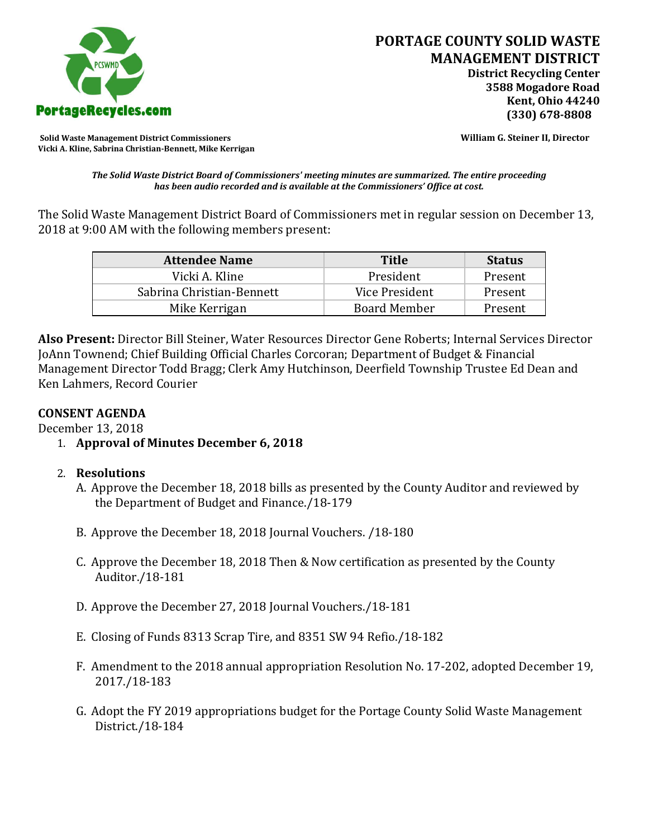

**Solid Waste Management District Commissioners William G. Steiner II, Director Vicki A. Kline, Sabrina Christian-Bennett, Mike Kerrigan** 

*The Solid Waste District Board of Commissioners' meeting minutes are summarized. The entire proceeding has been audio recorded and is available at the Commissioners' Office at cost.*

The Solid Waste Management District Board of Commissioners met in regular session on December 13, 2018 at 9:00 AM with the following members present:

| <b>Attendee Name</b>      | <b>Title</b>        | <b>Status</b> |
|---------------------------|---------------------|---------------|
| Vicki A. Kline            | President           | Present       |
| Sabrina Christian-Bennett | Vice President      | Present       |
| Mike Kerrigan             | <b>Board Member</b> | Present       |

**Also Present:** Director Bill Steiner, Water Resources Director Gene Roberts; Internal Services Director JoAnn Townend; Chief Building Official Charles Corcoran; Department of Budget & Financial Management Director Todd Bragg; Clerk Amy Hutchinson, Deerfield Township Trustee Ed Dean and Ken Lahmers, Record Courier

# **CONSENT AGENDA**

December 13, 2018

- 1. **Approval of Minutes December 6, 2018**
- 2. **Resolutions**
	- A. Approve the December 18, 2018 bills as presented by the County Auditor and reviewed by the Department of Budget and Finance./18-179
	- B. Approve the December 18, 2018 Journal Vouchers. /18-180
	- C. Approve the December 18, 2018 Then & Now certification as presented by the County Auditor./18-181
	- D. Approve the December 27, 2018 Journal Vouchers./18-181
	- E. Closing of Funds 8313 Scrap Tire, and 8351 SW 94 Refio./18-182
	- F. Amendment to the 2018 annual appropriation Resolution No. 17-202, adopted December 19, 2017./18-183
	- G. Adopt the FY 2019 appropriations budget for the Portage County Solid Waste Management District./18-184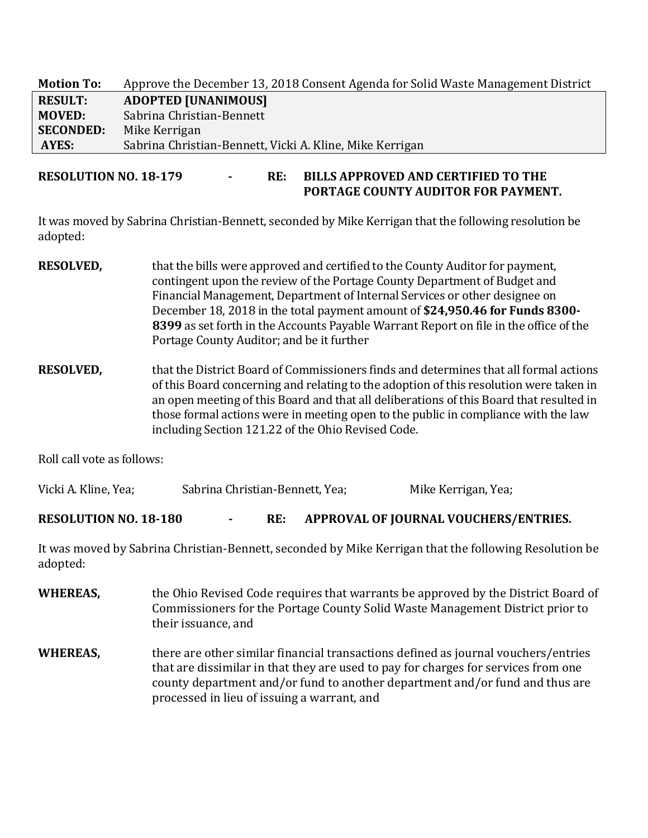| <b>Motion To:</b> | Approve the December 13, 2018 Consent Agenda for Solid Waste Management District |
|-------------------|----------------------------------------------------------------------------------|
| <b>RESULT:</b>    | <b>ADOPTED [UNANIMOUS]</b>                                                       |
| <b>MOVED:</b>     | Sabrina Christian-Bennett                                                        |
| <b>SECONDED:</b>  | Mike Kerrigan                                                                    |
| AYES:             | Sabrina Christian-Bennett, Vicki A. Kline, Mike Kerrigan                         |

**RESOLUTION NO. 18-179 - RE: BILLS APPROVED AND CERTIFIED TO THE PORTAGE COUNTY AUDITOR FOR PAYMENT.** 

It was moved by Sabrina Christian-Bennett, seconded by Mike Kerrigan that the following resolution be adopted:

- **RESOLVED,** that the bills were approved and certified to the County Auditor for payment, contingent upon the review of the Portage County Department of Budget and Financial Management, Department of Internal Services or other designee on December 18, 2018 in the total payment amount of **\$24,950.46 for Funds 8300- 8399** as set forth in the Accounts Payable Warrant Report on file in the office of the Portage County Auditor; and be it further
- **RESOLVED,** that the District Board of Commissioners finds and determines that all formal actions of this Board concerning and relating to the adoption of this resolution were taken in an open meeting of this Board and that all deliberations of this Board that resulted in those formal actions were in meeting open to the public in compliance with the law including Section 121.22 of the Ohio Revised Code.

Roll call vote as follows:

Vicki A. Kline, Yea; Sabrina Christian-Bennett, Yea; Mike Kerrigan, Yea;

**RESOLUTION NO. 18-180 - RE: APPROVAL OF JOURNAL VOUCHERS/ENTRIES.**

It was moved by Sabrina Christian-Bennett, seconded by Mike Kerrigan that the following Resolution be adopted:

- **WHEREAS,** the Ohio Revised Code requires that warrants be approved by the District Board of Commissioners for the Portage County Solid Waste Management District prior to their issuance, and
- **WHEREAS,** there are other similar financial transactions defined as journal vouchers/entries that are dissimilar in that they are used to pay for charges for services from one county department and/or fund to another department and/or fund and thus are processed in lieu of issuing a warrant, and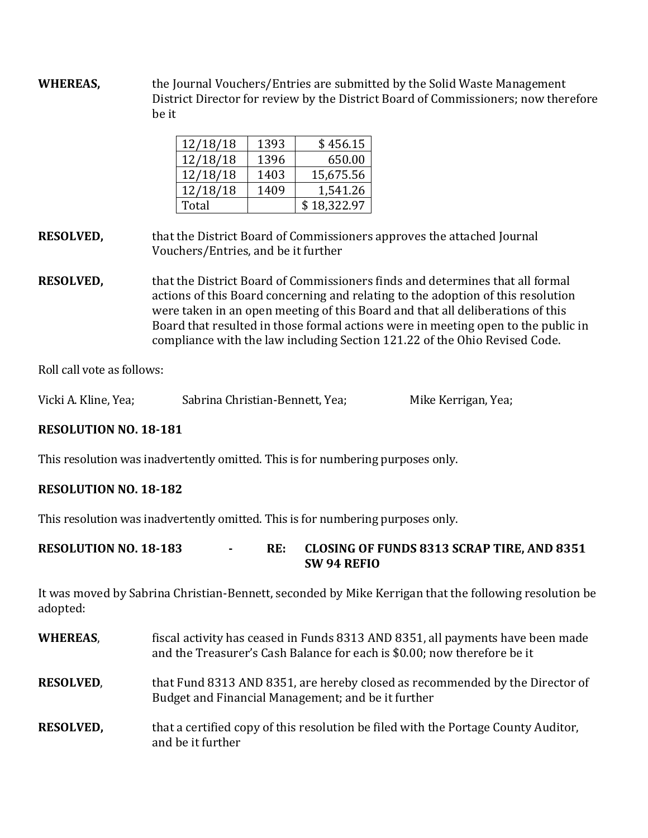**WHEREAS,** the Journal Vouchers/Entries are submitted by the Solid Waste Management District Director for review by the District Board of Commissioners; now therefore be it

| 12/18/18 | 1393 | \$456.15    |
|----------|------|-------------|
| 12/18/18 | 1396 | 650.00      |
| 12/18/18 | 1403 | 15,675.56   |
| 12/18/18 | 1409 | 1,541.26    |
| Total    |      | \$18,322.97 |

**RESOLVED,** that the District Board of Commissioners approves the attached Journal Vouchers/Entries, and be it further

**RESOLVED,** that the District Board of Commissioners finds and determines that all formal actions of this Board concerning and relating to the adoption of this resolution were taken in an open meeting of this Board and that all deliberations of this Board that resulted in those formal actions were in meeting open to the public in compliance with the law including Section 121.22 of the Ohio Revised Code.

Roll call vote as follows:

| Vicki A. Kline, Yea; | Sabrina Christian-Bennett, Yea; | Mike Kerrigan, Yea; |
|----------------------|---------------------------------|---------------------|
|                      |                                 |                     |

## **RESOLUTION NO. 18-181**

This resolution was inadvertently omitted. This is for numbering purposes only.

## **RESOLUTION NO. 18-182**

This resolution was inadvertently omitted. This is for numbering purposes only.

| <b>RESOLUTION NO. 18-183</b> |  | <b>CLOSING OF FUNDS 8313 SCRAP TIRE, AND 8351</b> |
|------------------------------|--|---------------------------------------------------|
|                              |  | SW 94 REFIO                                       |

It was moved by Sabrina Christian-Bennett, seconded by Mike Kerrigan that the following resolution be adopted:

| <b>WHEREAS,</b>  | fiscal activity has ceased in Funds 8313 AND 8351, all payments have been made<br>and the Treasurer's Cash Balance for each is \$0.00; now therefore be it |
|------------------|------------------------------------------------------------------------------------------------------------------------------------------------------------|
| <b>RESOLVED,</b> | that Fund 8313 AND 8351, are hereby closed as recommended by the Director of<br>Budget and Financial Management; and be it further                         |
| <b>RESOLVED,</b> | that a certified copy of this resolution be filed with the Portage County Auditor,<br>and be it further                                                    |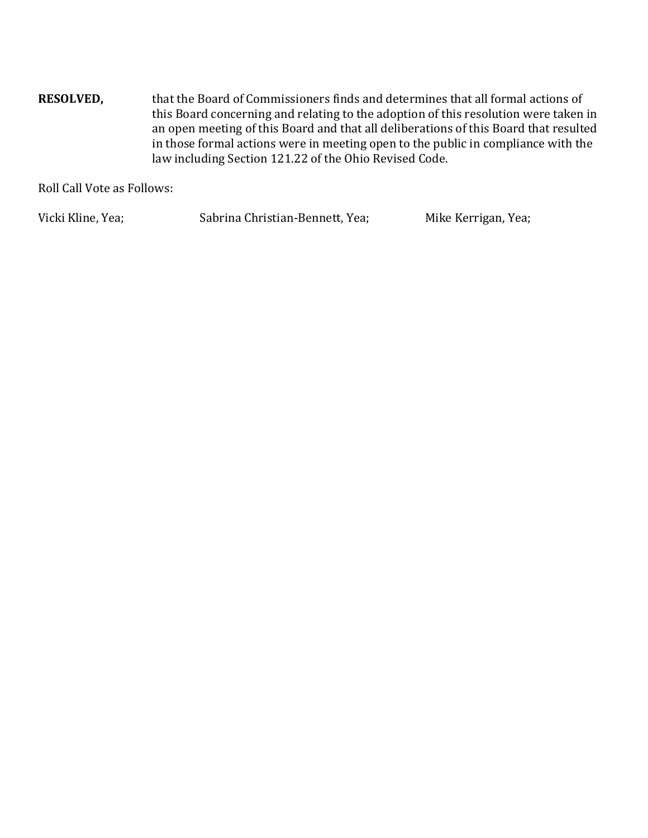**RESOLVED,** that the Board of Commissioners finds and determines that all formal actions of this Board concerning and relating to the adoption of this resolution were taken in an open meeting of this Board and that all deliberations of this Board that resulted in those formal actions were in meeting open to the public in compliance with the law including Section 121.22 of the Ohio Revised Code.

Roll Call Vote as Follows:

Vicki Kline, Yea; Sabrina Christian-Bennett, Yea; Mike Kerrigan, Yea;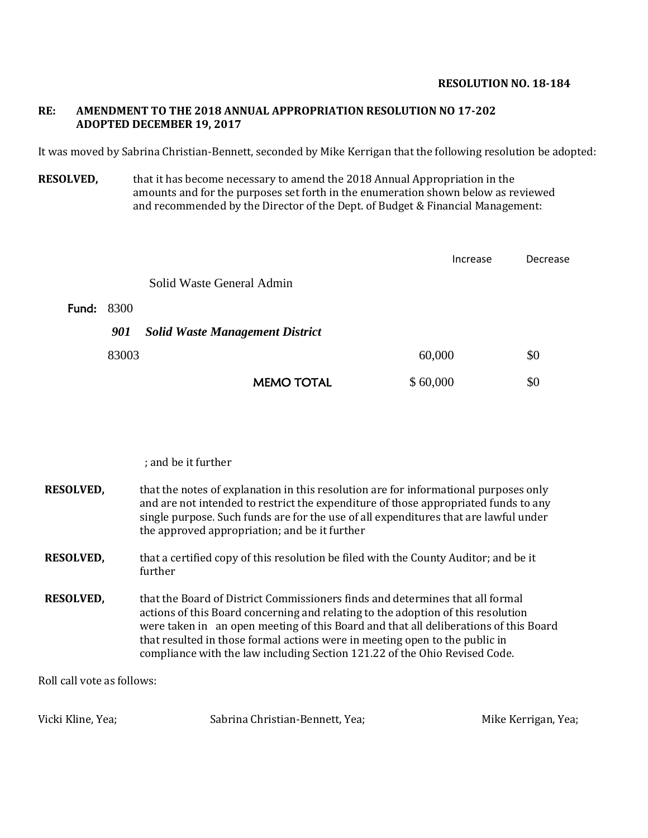#### **RESOLUTION NO. 18-184**

### **RE: AMENDMENT TO THE 2018 ANNUAL APPROPRIATION RESOLUTION NO 17-202 ADOPTED DECEMBER 19, 2017**

It was moved by Sabrina Christian-Bennett, seconded by Mike Kerrigan that the following resolution be adopted:

**RESOLVED,** that it has become necessary to amend the 2018 Annual Appropriation in the amounts and for the purposes set forth in the enumeration shown below as reviewed and recommended by the Director of the Dept. of Budget & Financial Management:

|                   |                                        | Increase | Decrease |
|-------------------|----------------------------------------|----------|----------|
|                   | Solid Waste General Admin              |          |          |
| <b>Fund: 8300</b> |                                        |          |          |
| 901               | <b>Solid Waste Management District</b> |          |          |
| 83003             |                                        | 60,000   | \$0      |
|                   | <b>MEMO TOTAL</b>                      | \$60,000 | \$0      |

; and be it further

| <b>RESOLVED,</b> | that the notes of explanation in this resolution are for informational purposes only<br>and are not intended to restrict the expenditure of those appropriated funds to any<br>single purpose. Such funds are for the use of all expenditures that are lawful under<br>the approved appropriation; and be it further                                                                                                   |
|------------------|------------------------------------------------------------------------------------------------------------------------------------------------------------------------------------------------------------------------------------------------------------------------------------------------------------------------------------------------------------------------------------------------------------------------|
| <b>RESOLVED,</b> | that a certified copy of this resolution be filed with the County Auditor; and be it<br>further                                                                                                                                                                                                                                                                                                                        |
| <b>RESOLVED,</b> | that the Board of District Commissioners finds and determines that all formal<br>actions of this Board concerning and relating to the adoption of this resolution<br>were taken in an open meeting of this Board and that all deliberations of this Board<br>that resulted in those formal actions were in meeting open to the public in<br>compliance with the law including Section 121.22 of the Ohio Revised Code. |

Roll call vote as follows:

Vicki Kline, Yea; Sabrina Christian-Bennett, Yea; Mike Kerrigan, Yea; Mike Kerrigan, Yea;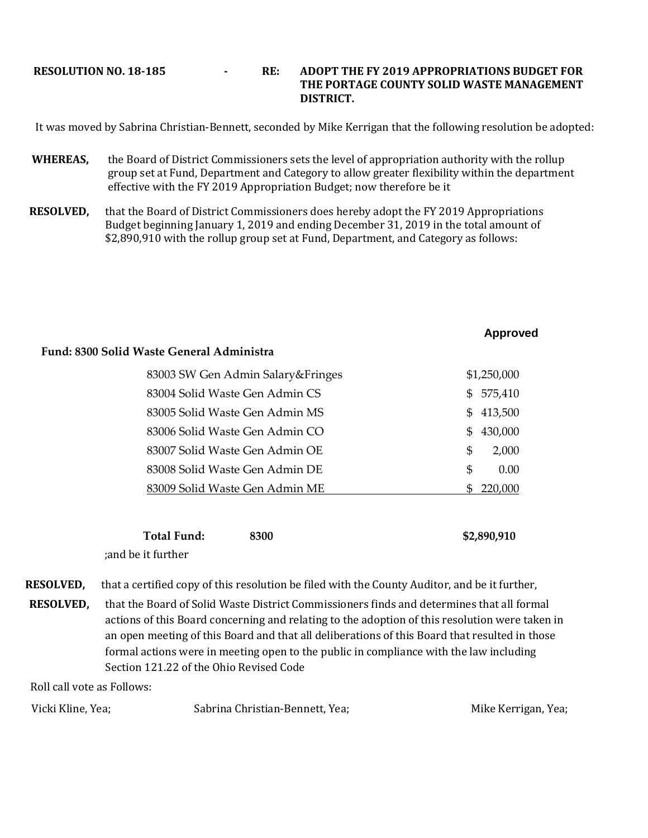### **RESOLUTION NO. 18-185 - RE: ADOPT THE FY 2019 APPROPRIATIONS BUDGET FOR THE PORTAGE COUNTY SOLID WASTE MANAGEMENT DISTRICT.**

It was moved by Sabrina Christian-Bennett, seconded by Mike Kerrigan that the following resolution be adopted:

- **WHEREAS,** the Board of District Commissioners sets the level of appropriation authority with the rollup group set at Fund, Department and Category to allow greater flexibility within the department effective with the FY 2019 Appropriation Budget; now therefore be it
- **RESOLVED,** that the Board of District Commissioners does hereby adopt the FY 2019 Appropriations Budget beginning January 1, 2019 and ending December 31, 2019 in the total amount of \$2,890,910 with the rollup group set at Fund, Department, and Category as follows:

| Approved |
|----------|
|----------|

| 83003 SW Gen Admin Salary&Fringes |     | \$1,250,000 |
|-----------------------------------|-----|-------------|
| 83004 Solid Waste Gen Admin CS    | \$. | 575,410     |
| 83005 Solid Waste Gen Admin MS    | \$  | 413,500     |
| 83006 Solid Waste Gen Admin CO    | SS. | 430,000     |
| 83007 Solid Waste Gen Admin OE    | \$. | 2,000       |
| 83008 Solid Waste Gen Admin DE    | \$. | 0.00        |
| 83009 Solid Waste Gen Admin ME    |     | 220.000     |
|                                   |     |             |

| <b>Total Fund:</b> | 8300 | \$2,890,910 |
|--------------------|------|-------------|
| and be it further; |      |             |

**RESOLVED,** that a certified copy of this resolution be filed with the County Auditor, and be it further,

**RESOLVED,** that the Board of Solid Waste District Commissioners finds and determines that all formal actions of this Board concerning and relating to the adoption of this resolution were taken in an open meeting of this Board and that all deliberations of this Board that resulted in those formal actions were in meeting open to the public in compliance with the law including Section 121.22 of the Ohio Revised Code

Roll call vote as Follows:

**Fund: 8300 Solid Waste General Administra** 

| Vicki Kline, Yea; | Sabrina Christian-Bennett, Yea; | Mike Kerrigan, Yea; |
|-------------------|---------------------------------|---------------------|
|-------------------|---------------------------------|---------------------|